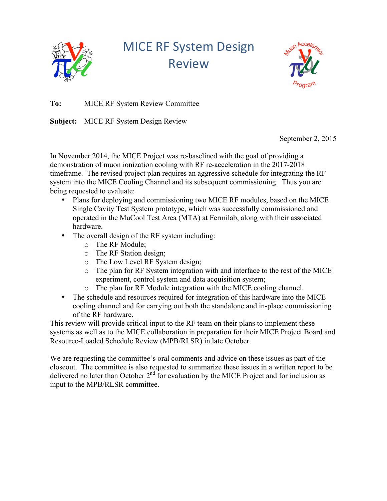

**MICE RF System Design** Review



**To:** MICE RF System Review Committee

**Subject:** MICE RF System Design Review

September 2, 2015

In November 2014, the MICE Project was re-baselined with the goal of providing a demonstration of muon ionization cooling with RF re-acceleration in the 2017-2018 timeframe. The revised project plan requires an aggressive schedule for integrating the RF system into the MICE Cooling Channel and its subsequent commissioning. Thus you are being requested to evaluate:

- Plans for deploying and commissioning two MICE RF modules, based on the MICE Single Cavity Test System prototype, which was successfully commissioned and operated in the MuCool Test Area (MTA) at Fermilab, along with their associated hardware.
- The overall design of the RF system including:
	- o The RF Module;
	- o The RF Station design;
	- o The Low Level RF System design;
	- o The plan for RF System integration with and interface to the rest of the MICE experiment, control system and data acquisition system;
	- o The plan for RF Module integration with the MICE cooling channel.
- The schedule and resources required for integration of this hardware into the MICE cooling channel and for carrying out both the standalone and in-place commissioning of the RF hardware.

This review will provide critical input to the RF team on their plans to implement these systems as well as to the MICE collaboration in preparation for their MICE Project Board and Resource-Loaded Schedule Review (MPB/RLSR) in late October.

We are requesting the committee's oral comments and advice on these issues as part of the closeout. The committee is also requested to summarize these issues in a written report to be delivered no later than October  $2<sup>nd</sup>$  for evaluation by the MICE Project and for inclusion as input to the MPB/RLSR committee.